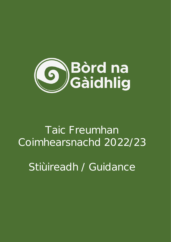

# Taic Freumhan Coimhearsnachd 2022/23

Stiùireadh / Guidance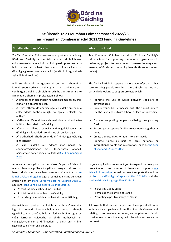

## **Stiùireadh Taic Freumhan Coimhearsnachd 2022/23 Taic Freumhan Coimhearsnachd 2022/23 Funding Guidelines**

## Mu dheidhinn na Maoine About the Fund

'S e Taic Freumhan Coimhearsnachd a' phrìomh mhaoin aig Bòrd na Gàidhlig airson taic a chur ri buidhnean coimhearsnachd ann a bhith a' lìbhrigeadh phròiseactan a bhios a' cur air adhart cleachdadh is ionnsachadh na Gàidhlig aig ìre na coimhearsnachd (an dà chuid aghaidh-riaghaidh is air-loidhne).

Bidh sùbailteachd san sgeama airson taic a chumail ri iomadh seòrsa pròiseict a tha ag amas air daoine a thoirt còmhla gus Gàidhlig a bhruidhinn, ach tha sinn gu sònraichte airson taic a chumail ri pròiseactan a bhios:

- A' brosnachadh cleachdadh na Gàidhlig am measg luchdlabhairt de dhiofar aoisean
- A' toirt cothrom do dhaoine òga le Gàidhlig an cànan a chleachdadh taobh-a-muigh na sgoile, colaiste no oilthigh
- A' dèanamh fòcas air taic a chumail ri sunnd dhaoine tro bhith a' cleachdadh na Gàidhlig
- A' brosnachadh no a' cumail taic ri teaghlaichean airson Gàidhlig a chleachdadh còmhla no aig an dachaigh
- A' cruthachadh chothroman do dh'inbhich gus Gàidhlig ionnsachadh
- A' cur Gàidhlig air adhart mar phàirt de chomharrachaidhean agus tachartasan ionadail, nàiseanta is eadar-nàiseanta, leithi[d Bliadhna nan Sgeul](https://www.visitscotland.org/about-us/what-we-do/themed-years)  [2022](https://www.visitscotland.org/about-us/what-we-do/themed-years)

Anns an iarrtas agaibh, tha sinn airson 's gum mìnich sibh mar a bhios am pròiseact agaibh a' freagairt air aon no barrachd air aon de na h-amasan seo, a' cur taic ris [an](https://www.gaidhlig.scot/ga/the-cleachdi-initiative/)  [iomairt #cleachdi againn](https://www.gaidhlig.scot/ga/the-cleachdi-initiative/), agus a' cumail taic ris na puingean gnìomh ann am [Plana Corporra Bòrd na Gàidhlig 2018-23](https://www.gaidhlig.scot/wp-content/uploads/2018/09/Plana-Corporra-BnG-2018-23-G.pdf) agus am [Plana Cànain Nàiseanta Gàidhlig](https://www.gaidhlig.scot/wp-content/uploads/2018/03/BnG-PCNG-18-23.pdf) 2018-23:

- A' toirt fàs air cleachdadh na Gàidhlig
- A' toirt fàs air ionnsachadh na Gàidhlig
- A' cur deagh ìomhaigh air adhart airson na Gàidhlig

Feumaidh gach pròiseact a gheibh taic a bhith a' leantainn lagh is stiùireadh bho Riaghaltas na h-Alba a thaobh sgaoilidhean a' choròna-bhìorais fad na h-ùine, agus bu chòir iarrtasan cuideachd a bhith mothachail air cuingealachaidhean a dh'fhaodadh a bhith ann ri linn sgaoilidhean a' choròna-bhìorais.

Taic Freumhan Coimhearsnachd is Bòrd na Gàidhlig's primary fund for supporting community organisations in delivering projects to promote and increase the usage and learning of Gaelic at community level (both in-person and online).

The fund is flexible in supporting most types of projects that seek to bring people together to use Gaelic, but we are particularly looking to support projects which:

- Promote the use of Gaelic between speakers of different ages
- Provide young Gaelic speakers with the opportunity to use the language outwith school, college, or university
- Focus on supporting people's wellbeing through using Gaelic
- Encourage or support families to use Gaelic together at home
- Create opportunities for adults to learn Gaelic
- Promote Gaelic as part of local, national, or international events and celebrations, such as the Year [of Scotland's Stories 2022](https://www.visitscotland.org/about-us/what-we-do/themed-years)

In your application we expect you to expand on how your project meets one or more of these aims, supports our [#cleachdi campaign,](https://www.gaidhlig.scot/the-cleachdi-initiative/) as well as how it supports the actions of [Bòrd na Gàidhlig's Corporate Plan 2018](https://www.gaidhlig.scot/wp-content/uploads/2018/09/BnG-Corporate-Plan-2018-23-E.pdf)-23 and the [National Gaelic Language Plan 2018-23:](https://www.gaidhlig.scot/wp-content/uploads/2018/03/BnG-NGLP-18-23-1.pdf)

- Increasing Gaelic usage
- Increasing the learning of Gaelic
- Promoting a positive image of Gaelic

All projects that receive support must comply at all times with laws and guidance from the Scottish Government relating to coronavirus outbreaks, and applications should consider restrictions that may be in place due to coronavirus outbreaks.

*Stiùireadh / Guidance – Taic Freumhan Coimhearsnachd 2022/23* 1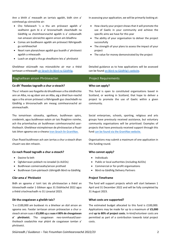Ann a bhith a' measadh an iarrtais agaibh, bidh sinn a' coimhead gu sònraichte air:

- Cho follaiseach 's a tha am pròiseact agaibh a' sealltainn gum bi e a' brosnachadh cleachdadh na Gàidhlig sa choimhearsnachd agaibh is a' coileanadh nan amasan sònraichte againn airson am-bliadhna
- Comas am buidheann agaibh am pròiseact lìbhrigeadh gu soirbheachail
- Neart nam planaichean agaibh gus buaidh a' phròiseict agaibh a mheasadh
- Luach an airgid a tha ga shealltainn leis a' phròiseict

Gheibhear stiùireadh nas mionaidiche air mar a thèid iarrtasan a mheasadh [air làrach-lìn Bòrd na Gàidhlig.](https://www.gaidhlig.scot/wp-content/uploads/2021/11/stiuireadh-measaidh-tfc-2022-23.pdf)

Riaghailtean airson Phròiseactan **Proventice anns an Project Requirements** 

#### **Co dh' fhaodas tagradh a chur a-steach?**

Tha a' mhaoin seo fosgailte do bhuidhnean a tha stèidhichte ann an Alba, no ag obair ann an Alba, aig a bheil bun-reachd agus a tha airson pròiseact a lìbhrigeadh gus cleachdadh na Gàidhlig a bhrosnachadh am measg coimhearsnachd air ainmeachadh.

Tha iomairtean sòisealta, sgoiltean, buidhnean spòrs, creideimh, agus buidhnean ealain air taic fhaighinn roimhe, ach tha prìomhachas air buidhnean coimhearsnachd saorthoileach. Gheibhear eisimpleirean de phròiseactan a fhuair taic bhon sgeama seo a-chean[a tron làrach-lìn GrantNav.](https://grantnav.threesixtygiving.org/search?query=%22Taic+Freumhan+Coimhearsnachd%22&default_field=%2A&sort=awardDate+desc&fundingOrganization=XI-PB-gb%2Fbord-na-gaidhlig)

Chan fhaod buidhnean ach aon iarrtas a chur a-steach dhan chuairt seo den mhaoin.

## **Co nach fhaod tagradh a chur a-steach?**

- Daoine fa-leth
- Ùghdarrasan poblach no ionadail (is ALEOs)
- Buidhnean coimeirsealta/airson prothaid
- Buidhnean Com-pàirteach Lìbhrigidh Bòrd na Gàidhlig

## **Clàr-ama a' Phròiseict**

Bidh an sgeama a' toirt taic do phròiseactan a thèid an tòiseachadh eadar 1 Giblean agus 31 Dùbhlachd 2022 agus a thèid crìochnachadh ro 31 Lùnastal 2023.

## **Dè tha cosgaisean a gheibh taic?**

'S e £100,000 am buidseat ris a bheilear an dùil airson an sgeama seo. Faodar iarrtasan airson pròiseactan a chur asteach airson suas ri **£5,000** agus **suas ri 80% de chosgaisean a' phròiseict.** Tha cosgaisean neo-ionmhasail/saorthoileach ceadaichte mar phàirt de cosgaisean iomlan a' phròiseict.

In assessing your application, we will be primarily looking at:

- How clearly your project shows that it will promote the use of Gaelic in your community and achieve the specific aims we have for this year
- The ability of your organisation to deliver the project successfully
- The strength of your plans to assess the impact of your project
- The value for money demonstrated by the project

Detailed guidance as to how applications will be assessed can be found [on Bòrd na Gàidhlig's website](https://www.gaidhlig.scot/wp-content/uploads/2021/11/stiuireadh-measaidh-tfc-2022-23.pdf).

#### **Who can apply?**

This fund is open to constituted organisations based in Scotland, or working in Scotland, that hope to deliver a project to promote the use of Gaelic within a given community.

Social enterprises, schools, sporting, religious and arts groups have previously received assistance, but voluntary community organisations will be prioritised. Examples of projects that have previously received support through this fund [can be found via the GrantNav website.](https://grantnav.threesixtygiving.org/search?query=%22Taic+Freumhan+Coimhearsnachd%22&default_field=%2A&sort=awardDate+desc&fundingOrganization=XI-PB-gb%2Fbord-na-gaidhlig)

Organisations may submit a maximum of one application in this funding round.

## **Who cannot apply?**

- Individuals
- Public or local authorities (including ALEOs)
- Commercial or for-profit organisations
- Bòrd na Gàidhlig Delivery Partners

## **Project Timeframe**

The fund will support projects which will start between 1 April and 31 December 2022 and will be fully completed by 31 August 2023.

#### **What costs are supported?**

The estimated budget allocated to this fund is £100,000. Applications may be made for up to a maximum of **£5,000** and **up to 80% of project costs.** In-kind/volunteer costs are permitted as part of a contribution towards total project costs.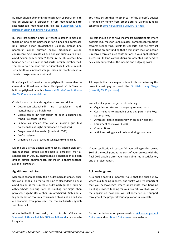Bu chòir dhuibh dèanamh cinnteach nach eil pàirt sam bith eile de bhuidseat a' phròiseict air am maoineachadh tro sgeamaichean maoineachaidh eile no [Buidhnean](https://www.gaidhlig.scot/ga/maoineachaidh/buidhnean-com-pairteach-libhrigidh/) Com[pàirteach Lìbhrigidh Bhòrd na Gàidhlig.](https://www.gaidhlig.scot/ga/maoineachaidh/buidhnean-com-pairteach-libhrigidh/)

Bu choir pròiseactan amas air teachd-a-steach iomchaidh fhaighinn bho chom-pàirtichean far a bheil seo comasach (m.e. cìsean airson chlasaichean Gàidhlig, airgead bho phàrantan airson turasan sgoile, tiocaidean airson chuirmean), agus is mathaid gun cuir sinn cumha air an taicairgid againn gum bi sibh a' togail ìre de dh' airgead bho bhunan den leithid, ma tha an t-iarrtas agaibh soirbheachail. Thathar a' toirt fa-near taic neo-ionmhasail, ach feumaidh seo a bhith air ainmeachadh gu soilleir air taobh teachd-asteach is cosgaisean sa bhuidseat.

Bu chòir gach pròiseact a tha a' pàigheadh tuarastalan no cìsean dhan fheadhainn a tha a' lìbhrigeadh a' phròiseict a bhith a' pàigheadh co-dhiù [Tuarastal Bith-beò na h-Alba \(a](https://scottishlivingwage.org/)  tha £9.9[0 san uair an-dràsta\).](https://scottishlivingwage.org/) 

Cha bhi sinn a' cur taic ri cosgaisean pròiseact ri linn:

- Cosgaisean-tòiseachaidh no cosgaisean ruith leantainneach aig buidhnean
- Cosgaisean ri linn frithealadh no pàirt a ghabhail sa Mhòd Nàiseanta Rìoghail
- Siubhal air itealan (tha sinn a' moladh gun tèid dòighean le nas lugha eimiseanan a thaghadh)
- Cosgaisean uidheamachd (thairis air £500)
- Co-fharpaisean
- Gnìomhan a tha a' tachairt san sgoil tro ùine chlas

Ma tha an t-iarrtas agaibh soirbheachail, gheibh sibh 80% den tabhartas iomlan aig tòiseach a' phròiseict mar as àbhaist, leis an 20% mu dheireadh air a phàigheadh às dèidh dhuibh aithisg dheireannach iomchaidh a thoirt seachad airson a' phròiseict.

#### **Ag aithneachadh taic**

Mar bhuidheann poblach, tha e cudromach dhuinn gu bheil fios aig a' phoball air mar a tha sinn a' cleachdadh an cuid airgid againn, is mar sin tha e cudromach gu bheil sibh ag aithneachadh gun tug Bòrd na Gàidhlig taic-airgid dhan phròiseact agaibh (far a bheil sin iomchaidh). Bidh sinn a' faighneachd san fhoirm-iarrtais mar a bhios sibh an dùil seo a dhèanamh tron phròiseact ma tha an t-iarrtas agaibh soirbheachail.

Airson tuilleadh fiosrachaidh, nach toir sibh sùil air an [Stiùireadh Aithneachaidh](https://www.gaidhlig.scot/wp-content/uploads/static/stiuireadh-aithneachaidh.pdf) is [Stiùireadh Brannd](https://www.gaidhlig.scot/wp-content/uploads/2021/06/BnG-BrandGuide-Gaidhlig.pdf) air an làrachlìn againn.

You must ensure that no other part of the project's budget is funded by money from other Bòrd na Gàidhlig funding schemes or [Bòrd na Gàidhlig's Delivery Partners](https://www.gaidhlig.scot/en/funding/delivery-partners/).

Projects should aim to have income from participants where possible (e.g. fees for Gaelic classes, parental contributions towards school trips, tickets for concerts) and we may set conditions on our funding that a minimum level of income is received through such contributions, if your application is successful. In-kind contributions are accepted but need to be clearly budgeted on the income and outgoing costs.

All projects that pay wages or fees to those delivering the project must pay at least the Scottish Living Wage [\(currently £9.](https://scottishlivingwage.org/)90 per hour).

We will not support project costs relating to:

- Organisation start-up or ongoing running costs
- Costs relating to attending or taking part in the Royal National Mòd
- Air travel (please consider lower-emission options)
- Equipment costs (over £500)
- Competitions
- Activities taking place in school during class time

If your application is successful, you will typically receive 80% of the total grant at the start of your project, with the final 20% payable after you have submitted a satisfactory end of project report.

#### **Acknowledgment**

As a public body it's important to us that the public know where our funding is spent, and that's why it's important that you acknowledge where appropriate that Bòrd na Gàidhlig provided funding for your project. We'll ask you in the application how you will acknowledge our support throughout the project if your application is successful.

For further information please read ou[r Acknowledgement](https://www.gaidhlig.scot/wp-content/uploads/static/acknowledgement-guidance.pdf) [Guidance](https://www.gaidhlig.scot/wp-content/uploads/static/acknowledgement-guidance.pdf) and ou[r Brand Guidance](https://www.gaidhlig.scot/wp-content/uploads/2021/01/BnG-BrandGuide-LowRes.pdf) on our website.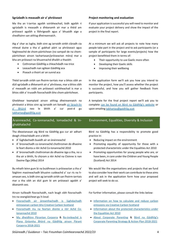#### **Sgrùdadh is measadh air a' phròiseact**

Ma tha an t-iarrtas agaibh soirbheachail, bidh agaibh ri sgrùdadh is measadh a dhèanamh air mar a thèid am pròiseact agaibh a lìbhrigeadh agus a' bhuaidh aige a shealltainn san aithisg dheireannaich.

Aig a' char as lugha, bidh sinn ag iarraidh oirbh clàradh cia mheud duine a tha a' gabhail pàirt sa phròiseact agus faighneachd de chom-pàirtichean (no sampall de na chompàirtichean airson tachartasan/pròiseactan mòra) mar a bha am pròiseact na bhuannachd dhaibh a thaobh:

- Cothroman Gàidhlig a chleachdadh nas trice
- Leasachadh nan sgilean Gàidhlig aca
- Piseach a thoirt air an sunnd aca

Thèid iarraidh oirbh san fhoirm-iarrtais mar a bhios sibh an dùil sgrùdadh a dhèanamh air a' phròiseas, mar a bhios sibh a' measadh an robh am pròiseact soirbheachail is mar a bhios sibh a' trusadh fiosrachaidh bho chom-pàirtichean.

Gheibhear teamplaid airson aithisg dheireannaich na phròiseict a bhios sinn ag iarraidh ort lìonadh [air làrach-lìn](https://www.gaidhlig.scot/ga/maoineachaidh/goireasan/)  [a' Bhùird](https://www.gaidhlig.scot/ga/maoineachaidh/goireasan/) neo le bhith a' cur post-d gu [tabhartas@gaidhlig.scot](mailto:tabhartas@gaidhlig.scot)

## **Project monitoring and evaluation**

If your application is successful you will need to monitor and evaluate your project delivery and show the impact of the project in the final report.

At a minimum we will ask all projects to note how many people take part in the project and to ask participants (or a sample of participants for large events/projects) how the project benefitted them in terms of:

- Their opportunity to use Gaelic more often
- Developing their Gaelic skills
- Improving their wellbeing

In the application form we'll ask you how you intend to monitor the project, how you'll assess whether the project is successful, and how you will gather feedback from participants.

A template for the final project report we'll ask you to complete [can be found on Bòrd na Gàidhlig's website](https://www.gaidhlig.scot/en/funding/resources/) or upon emailing [tabhartas@gaidhlig.scot](mailto:tabhartas@gaidhlig.scot)

## Àrainneachd, Co-ionnanachd, Iomadachd & Inghabhalachd

Tha dleastanasan aig Bòrd na Gàidhlig gus cur air adhart deagh chleachdadh ann a bhith:

- A' lùghdachadh buaidh air an àrainneachd
- A' brosnachadh co-ionannachd chothroman do dhaoine le feart dìonta a rèir Achd Co-Ionannachd 2010
- A' brosnachadh chothroman do dhaoine òga a tha, no a tha air a bhith, fo chùram a rèir Achd na Cloinne is nan Daoine Òga (Alba) 2014

Bu mhath leinn gum bi na buidhnean is pròiseactan a tha a' faighinn maoineachadh bhuainn cuideachd a' cur ris na hamasan seo, is bidh sinn ag iarraidh oirbh san fhoirm-iarrtais mar a tha sibh an dùil gum bi am pròiseact agaibh a' dèanamh seo.

Airson tuilleadh fiosrachaidh, nach leugh sibh fiosrachadh tro na ceanglaichean gu h-ìosal:

- [Fiosrachadh air àireamhachadh is lùghdachadh](https://www.creativecarbonscotland.com/)  [eimiseanan carbon bho Creative Carbon Scotland](https://www.creativecarbonscotland.com/)
- [Fiosrachadh mu na feartan dìonte a](https://www.equalityhumanrights.com/en/equality-act/equality-act-2010) rèir Achd Co-[Ionannachd 2010](https://www.equalityhumanrights.com/en/equality-act/equality-act-2010)
- [Mu dheidhinn Pàrantan Corporra](https://www.corporateparenting.org.uk/) & [Ro-innleachd is](https://www.gaidhlig.scot/wp-content/uploads/2021/01/Ro-innleachd-Paranta-Corporra-2018-21.pdf)  [Plana Gnìomha Bhòrd na Gàidhlig airson Pàrant](https://www.gaidhlig.scot/wp-content/uploads/2021/01/Ro-innleachd-Paranta-Corporra-2018-21.pdf)  [Corporra 2018-2021](https://www.gaidhlig.scot/wp-content/uploads/2021/01/Ro-innleachd-Paranta-Corporra-2018-21.pdf)

## Environment, Equalities, Diversity & Inclusion

Bòrd na Gàidhlig has a responsibility to promote good practice in:

- Reducing impact on the environment
- Promoting equality of opportunity for those with a protected characteristic under the Equalities Act 2010
- Promoting opportunities for young people who are, or have been, in care under the Children and Young People (Scotland) Act 2014

We would like the organisations and projects that we fund to also consider how their work can contribute to these aims and will ask in the application form how your proposed project will seek to do so.

For further information, please consult the links below:

- [Information on how to calculate and reduce carbon](https://www.creativecarbonscotland.com/)  [emissions via Creative Carbon Scotland](https://www.creativecarbonscotland.com/)
- [Information about the protected characteristics under](https://www.equalityhumanrights.com/en/equality-act/equality-act-2010)  [the Equalities Act 2010](https://www.equalityhumanrights.com/en/equality-act/equality-act-2010)
- [About Corporate Parenting](https://www.corporateparenting.org.uk/) & [Bòrd na Gàidhlig's](https://www.gaidhlig.scot/wp-content/uploads/2021/01/Ro-innleachd-Paranta-Corporra-2018-21.pdf)  [Corporate Parenting Strategy & Action Plan 2018-2021](https://www.gaidhlig.scot/wp-content/uploads/2021/01/Ro-innleachd-Paranta-Corporra-2018-21.pdf)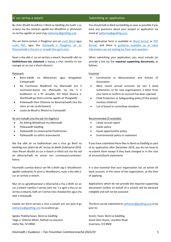Bu chòir dhuibh bruidhinn ri Bòrd na Gàidhlig cho luath 's as urrainn ma tha ceistean agaibh mu dheidhinn a' phròiseict no iarrtas agaibh air post-d gu [tabhartas@gaidhlig.scot.](mailto:tabhartas@gaidhlig.scot)

Tha am foirm-iarrtais ri fhaighinn ann an [cruth Word](https://www.gaidhlig.scot/wp-content/uploads/2021/11/foirm-iarrtais-tfc-2022-23.docx) agus [cruth PDF,](https://www.gaidhlig.scot/wp-content/uploads/2021/11/foirm-iarrtais-tfc-2022-23.pdf) agus tha [stiùireadh ri fhaighinn air an](https://www.gaidhlig.scot/wp-content/uploads/2021/11/stiuireadh-foirm-tfc-2022-23.pdf) [fhiosrachadh a tha sinn](https://www.gaidhlig.scot/wp-content/uploads/2021/11/stiuireadh-foirm-tfc-2022-23.pdf) a' sireadh bho gach ceist.

Nuair a tha sibh a' cur an iarrtais a-steach, feumaidh sibh na **faidhlichean-taic riatanach** a leanas a chur còmhla ris (no ceangal air an son a thoirt dhuinn):

#### **Riatanach**

- Bonn-stèidh no Meòrachan agus Artagailean Companaidh
- Na Cunntasan Bliadhnail mu dheireadh (no 3 cunntasan-banca mu dheireadh, no ma 's e buidheann ùr a th' annaibh, litir bhon bhanca a' dearbhadh gu bheil cunntas agaibh air fhosgladh)
- Poileasaidh Dìon Chloinne no Barantachaidh (ma tha clann an sàs sa phròiseact)
- Liosta de Bhuill a' Bhùird no Comataidh

#### Air am moladh (ma tha iad rim faighinn)

- An Aithisg Bhliadhnail mu dheireadh
- Poileasaidh Gàidhlig
- Poileasaidh Co-ionannachd Chothroman
- Poileasaidh no aithris àrainneachd

Ma tha sibh air na faidhlichean seo a chur gu Bòrd na Gàidhlig mar phàirt de dh' iarrtas às dèidh Dùbhlachd 2019, chan fheum dhuibh an cur a-steach a-rithist ach ma tha iad air atharrachadh no airson nan cunntasan/cunntasanbanca.

Feumaidh cunntas-banca san RA a bhith aig a' bhuidheann agaibh cuideachd, fo ainm a' bhuidheann, nuair a tha sibh a' cur an iarrtais a-steach.

Mur eil na sgrìobhainnean a bharrachd a tha a dhìth air an cur a-steach còmhla ri iarrtas (ach ma 's e sgoil a tha cur an iarrtas a-steach), bidh an t-iarrtas neo-cheadaichte agus cha tèid a mheasadh.

Faodar am foirm-iarrtais a chur a-steach ann am post-d gu [tabhartas@gaidhlig.scot](mailto:tabhartas@gaidhlig.scot) no sa phost gu:

Sgioba Thabhartasan, Bòrd na Gàidhlig Taigh a' Ghlinne Mhòir, Rathad na Leacainn Inbhir Nis, IV3 8NW

#### A' cur iarrtas a-steach Submitting an application

You should talk to Bòrd na Gàidhlig as soon as possible if you have any questions about your project or application via email at [tabhartas@gaidhlig.scot.](mailto:tabhartas@gaidhlig.scot)

The application form is available in [Word format](https://www.gaidhlig.scot/wp-content/uploads/2021/11/foirm-iarrtais-tfc-2022-23.docx) or [PDF](https://www.gaidhlig.scot/wp-content/uploads/2021/11/foirm-iarrtais-tfc-2022-23.pdf)  [format,](https://www.gaidhlig.scot/wp-content/uploads/2021/11/foirm-iarrtais-tfc-2022-23.pdf) and there is guidance available as to what [information we are looking for from each question.](https://www.gaidhlig.scot/wp-content/uploads/2021/11/stiuireadh-foirm-tfc-2022-23.pdf)

When submitting your application, you must include (or provide a link to) the **required supporting documents,** as follows:

#### **Essential**

- Constitution or Memorandum and Articles of **Association**
- Most recent annual accounts (or last 3 bank statements, or for new organisations, a letter from your bank to confirm an account has been opened)
- Child Protection or Safeguarding policy (if the project involves children)
- List of board or committee members

#### Recommended (if available)

- Latest annual report
- Gaelic policy
- Equal opportunities policy
- Environmental policy or statement

If you have submitted these files to Bòrd na Gàidhlig as part of an application after December 2019, you do not have to re-submit them except if they have changed or in the case of accounts/bank statements.

It is also essential that your organisation has an active UK bank account, in the name of the organisation, at the time of applying.

Applications which do not provide the required supporting documents (unless on behalf of a school) will be declared ineligible and will not be assessed.

The form can be submitted t[o tabhartas@gaidhlig.scot](mailto:tabhartas@gaidhlig.scot) or by post to:

Grants Team, Bòrd na Gàidhlig, Great Glen House, Leachkin Road Inverness, IV3 8NW